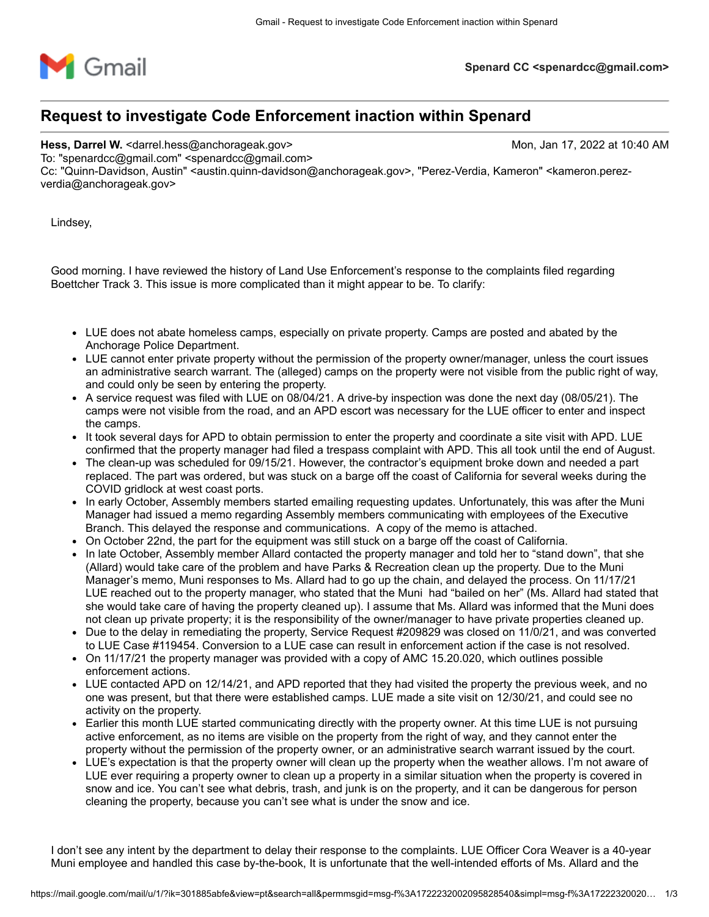

## **Request to investigate Code Enforcement inaction within Spenard**

**Hess, Darrel W.** <darrel.hess@anchorageak.gov> Mon, Jan 17, 2022 at 10:40 AM

To: "spenardcc@gmail.com" <spenardcc@gmail.com>

Cc: "Quinn-Davidson, Austin" <austin.quinn-davidson@anchorageak.gov>, "Perez-Verdia, Kameron" <kameron.perezverdia@anchorageak.gov>

Lindsey,

Good morning. I have reviewed the history of Land Use Enforcement's response to the complaints filed regarding Boettcher Track 3. This issue is more complicated than it might appear to be. To clarify:

- LUE does not abate homeless camps, especially on private property. Camps are posted and abated by the Anchorage Police Department.
- LUE cannot enter private property without the permission of the property owner/manager, unless the court issues an administrative search warrant. The (alleged) camps on the property were not visible from the public right of way, and could only be seen by entering the property.
- A service request was filed with LUE on 08/04/21. A drive-by inspection was done the next day (08/05/21). The camps were not visible from the road, and an APD escort was necessary for the LUE officer to enter and inspect the camps.
- It took several days for APD to obtain permission to enter the property and coordinate a site visit with APD. LUE confirmed that the property manager had filed a trespass complaint with APD. This all took until the end of August.
- The clean-up was scheduled for 09/15/21. However, the contractor's equipment broke down and needed a part replaced. The part was ordered, but was stuck on a barge off the coast of California for several weeks during the COVID gridlock at west coast ports.
- In early October, Assembly members started emailing requesting updates. Unfortunately, this was after the Muni Manager had issued a memo regarding Assembly members communicating with employees of the Executive Branch. This delayed the response and communications. A copy of the memo is attached.
- On October 22nd, the part for the equipment was still stuck on a barge off the coast of California.
- In late October, Assembly member Allard contacted the property manager and told her to "stand down", that she (Allard) would take care of the problem and have Parks & Recreation clean up the property. Due to the Muni Manager's memo, Muni responses to Ms. Allard had to go up the chain, and delayed the process. On 11/17/21 LUE reached out to the property manager, who stated that the Muni had "bailed on her" (Ms. Allard had stated that she would take care of having the property cleaned up). I assume that Ms. Allard was informed that the Muni does not clean up private property; it is the responsibility of the owner/manager to have private properties cleaned up.
- Due to the delay in remediating the property, Service Request #209829 was closed on 11/0/21, and was converted to LUE Case #119454. Conversion to a LUE case can result in enforcement action if the case is not resolved.
- On 11/17/21 the property manager was provided with a copy of AMC 15.20.020, which outlines possible enforcement actions.
- LUE contacted APD on 12/14/21, and APD reported that they had visited the property the previous week, and no one was present, but that there were established camps. LUE made a site visit on 12/30/21, and could see no activity on the property.
- Earlier this month LUE started communicating directly with the property owner. At this time LUE is not pursuing active enforcement, as no items are visible on the property from the right of way, and they cannot enter the property without the permission of the property owner, or an administrative search warrant issued by the court.
- LUE's expectation is that the property owner will clean up the property when the weather allows. I'm not aware of LUE ever requiring a property owner to clean up a property in a similar situation when the property is covered in snow and ice. You can't see what debris, trash, and junk is on the property, and it can be dangerous for person cleaning the property, because you can't see what is under the snow and ice.

I don't see any intent by the department to delay their response to the complaints. LUE Officer Cora Weaver is a 40-year Muni employee and handled this case by-the-book, It is unfortunate that the well-intended efforts of Ms. Allard and the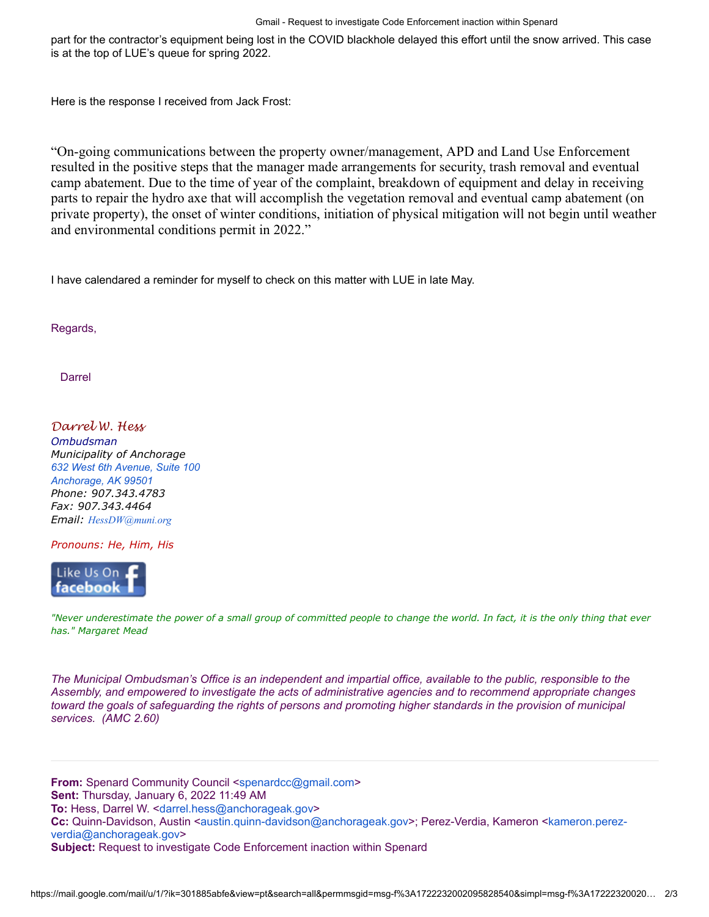part for the contractor's equipment being lost in the COVID blackhole delayed this effort until the snow arrived. This case is at the top of LUE's queue for spring 2022.

Here is the response I received from Jack Frost:

"On-going communications between the property owner/management, APD and Land Use Enforcement resulted in the positive steps that the manager made arrangements for security, trash removal and eventual camp abatement. Due to the time of year of the complaint, breakdown of equipment and delay in receiving parts to repair the hydro axe that will accomplish the vegetation removal and eventual camp abatement (on private property), the onset of winter conditions, initiation of physical mitigation will not begin until weather and environmental conditions permit in 2022."

I have calendared a reminder for myself to check on this matter with LUE in late May.

Regards,

Darrel

*Darrel W. Hess Ombudsman Municipality of Anchorage [632 West 6th Avenue, Suite 100](https://www.google.com/maps/search/632+West+6th+Avenue,+Suite+100+%0D%0A+%0D%0A+Anchorage,+AK+99501?entry=gmail&source=g) [Anchorage, AK 99501](https://www.google.com/maps/search/632+West+6th+Avenue,+Suite+100+%0D%0A+%0D%0A+Anchorage,+AK+99501?entry=gmail&source=g) Phone: 907.343.4783 Fax: 907.343.4464 Email: [HessDW@muni.org](mailto:HessDW@muni.org)*

*Pronouns: He, Him, His*



*"Never underestimate the power of a small group of committed people to change the world. In fact, it is the only thing that ever has." Margaret Mead*

*The Municipal Ombudsman's Office is an independent and impartial office, available to the public, responsible to the Assembly, and empowered to investigate the acts of administrative agencies and to recommend appropriate changes toward the goals of safeguarding the rights of persons and promoting higher standards in the provision of municipal services. (AMC 2.60)*

**From:** Spenard Community Council <[spenardcc@gmail.com](mailto:spenardcc@gmail.com)> **Sent:** Thursday, January 6, 2022 11:49 AM **To:** Hess, Darrel W. <[darrel.hess@anchorageak.gov](mailto:darrel.hess@anchorageak.gov)> **Cc:** [Quinn-Davidson, Austin <](mailto:kameron.perez-verdia@anchorageak.gov)[austin.quinn-davidson@anchorageak.gov](mailto:austin.quinn-davidson@anchorageak.gov)[>; Perez-Verdia, Kameron <kameron.perez](mailto:kameron.perez-verdia@anchorageak.gov)verdia@anchorageak.gov> **Subject:** Request to investigate Code Enforcement inaction within Spenard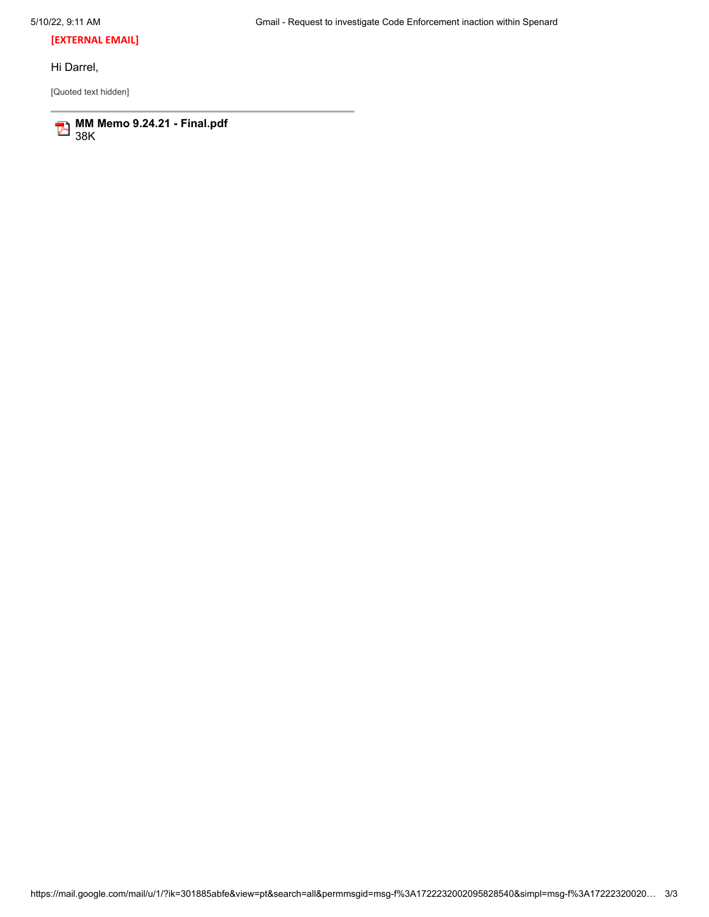**[EXTERNAL EMAIL]**

Hi Darrel,

[Quoted text hidden]